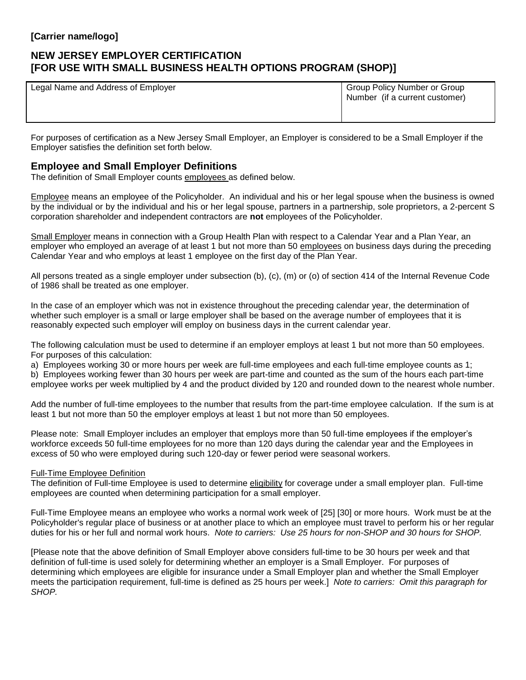# **NEW JERSEY EMPLOYER CERTIFICATION [FOR USE WITH SMALL BUSINESS HEALTH OPTIONS PROGRAM (SHOP)]**

Legal Name and Address of Employer Group Policy Number or Group Policy Number or Group

Number (if a current customer)

For purposes of certification as a New Jersey Small Employer, an Employer is considered to be a Small Employer if the Employer satisfies the definition set forth below.

### **Employee and Small Employer Definitions**

The definition of Small Employer counts employees as defined below.

Employee means an employee of the Policyholder. An individual and his or her legal spouse when the business is owned by the individual or by the individual and his or her legal spouse, partners in a partnership, sole proprietors, a 2-percent S corporation shareholder and independent contractors are **not** employees of the Policyholder.

Small Employer means in connection with a Group Health Plan with respect to a Calendar Year and a Plan Year, an employer who employed an average of at least 1 but not more than 50 employees on business days during the preceding Calendar Year and who employs at least 1 employee on the first day of the Plan Year.

All persons treated as a single employer under subsection (b), (c), (m) or (o) of section 414 of the Internal Revenue Code of 1986 shall be treated as one employer.

In the case of an employer which was not in existence throughout the preceding calendar year, the determination of whether such employer is a small or large employer shall be based on the average number of employees that it is reasonably expected such employer will employ on business days in the current calendar year.

The following calculation must be used to determine if an employer employs at least 1 but not more than 50 employees. For purposes of this calculation:

a) Employees working 30 or more hours per week are full-time employees and each full-time employee counts as 1;

b) Employees working fewer than 30 hours per week are part-time and counted as the sum of the hours each part-time employee works per week multiplied by 4 and the product divided by 120 and rounded down to the nearest whole number.

Add the number of full-time employees to the number that results from the part-time employee calculation. If the sum is at least 1 but not more than 50 the employer employs at least 1 but not more than 50 employees.

Please note: Small Employer includes an employer that employs more than 50 full-time employees if the employer's workforce exceeds 50 full-time employees for no more than 120 days during the calendar year and the Employees in excess of 50 who were employed during such 120-day or fewer period were seasonal workers.

### Full-Time Employee Definition

The definition of Full-time Employee is used to determine eligibility for coverage under a small employer plan. Full-time employees are counted when determining participation for a small employer.

Full-Time Employee means an employee who works a normal work week of [25] [30] or more hours. Work must be at the Policyholder's regular place of business or at another place to which an employee must travel to perform his or her regular duties for his or her full and normal work hours. *Note to carriers: Use 25 hours for non-SHOP and 30 hours for SHOP.* 

[Please note that the above definition of Small Employer above considers full-time to be 30 hours per week and that definition of full-time is used solely for determining whether an employer is a Small Employer. For purposes of determining which employees are eligible for insurance under a Small Employer plan and whether the Small Employer meets the participation requirement, full-time is defined as 25 hours per week.] *Note to carriers: Omit this paragraph for SHOP.*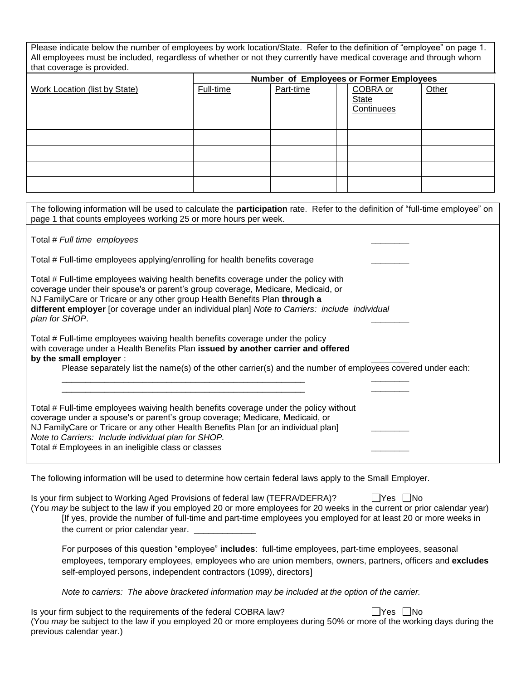| Please indicate below the number of employees by work location/State. Refer to the definition of "employee" on page 1.<br>All employees must be included, regardless of whether or not they currently have medical coverage and through whom<br>that coverage is provided. |           |           |                                        |       |  |  |  |  |  |  |
|----------------------------------------------------------------------------------------------------------------------------------------------------------------------------------------------------------------------------------------------------------------------------|-----------|-----------|----------------------------------------|-------|--|--|--|--|--|--|
| Number of Employees or Former Employees                                                                                                                                                                                                                                    |           |           |                                        |       |  |  |  |  |  |  |
| Work Location (list by State)                                                                                                                                                                                                                                              | Full-time | Part-time | COBRA or<br><b>State</b><br>Continuees | Other |  |  |  |  |  |  |
|                                                                                                                                                                                                                                                                            |           |           |                                        |       |  |  |  |  |  |  |
|                                                                                                                                                                                                                                                                            |           |           |                                        |       |  |  |  |  |  |  |
|                                                                                                                                                                                                                                                                            |           |           |                                        |       |  |  |  |  |  |  |
|                                                                                                                                                                                                                                                                            |           |           |                                        |       |  |  |  |  |  |  |
|                                                                                                                                                                                                                                                                            |           |           |                                        |       |  |  |  |  |  |  |
| The following information will be used to calculate the <b>narticipation</b> rate. Refer to the definition of "full-time employee" on                                                                                                                                      |           |           |                                        |       |  |  |  |  |  |  |

| The idilowing information will be used to calculate the <b>participation</b> rate. Relet to the definition of Tull-time employee for<br>page 1 that counts employees working 25 or more hours per week.                                                                                                                                                                   |
|---------------------------------------------------------------------------------------------------------------------------------------------------------------------------------------------------------------------------------------------------------------------------------------------------------------------------------------------------------------------------|
| Total # Full time employees                                                                                                                                                                                                                                                                                                                                               |
| Total # Full-time employees applying/enrolling for health benefits coverage                                                                                                                                                                                                                                                                                               |
| Total # Full-time employees waiving health benefits coverage under the policy with<br>coverage under their spouse's or parent's group coverage, Medicare, Medicaid, or<br>NJ Family Care or Tricare or any other group Health Benefits Plan through a<br>different employer [or coverage under an individual plan] Note to Carriers: include individual<br>plan for SHOP. |
| Total # Full-time employees waiving health benefits coverage under the policy<br>with coverage under a Health Benefits Plan issued by another carrier and offered<br>by the small employer :<br>Please separately list the name(s) of the other carrier(s) and the number of employees covered under each:                                                                |
| Total # Full-time employees waiving health benefits coverage under the policy without<br>coverage under a spouse's or parent's group coverage; Medicare, Medicaid, or<br>NJ FamilyCare or Tricare or any other Health Benefits Plan [or an individual plan]<br>Note to Carriers: Include individual plan for SHOP.<br>Total # Employees in an ineligible class or classes |

The following information will be used to determine how certain federal laws apply to the Small Employer.

| I Yes I No<br>Is your firm subject to Working Aged Provisions of federal law (TEFRA/DEFRA)?                             |
|-------------------------------------------------------------------------------------------------------------------------|
| (You may be subject to the law if you employed 20 or more employees for 20 weeks in the current or prior calendar year) |
| If yes, provide the number of full-time and part-time employees you employed for at least 20 or more weeks in           |
| the current or prior calendar year.                                                                                     |

For purposes of this question "employee" **includes**: full-time employees, part-time employees, seasonal employees, temporary employees, employees who are union members, owners, partners, officers and **excludes** self-employed persons, independent contractors (1099), directors]

*Note to carriers: The above bracketed information may be included at the option of the carrier.*

Is your firm subject to the requirements of the federal COBRA law?  $\Box$  Yes  $\Box$  No (You *may* be subject to the law if you employed 20 or more employees during 50% or more of the working days during the previous calendar year.)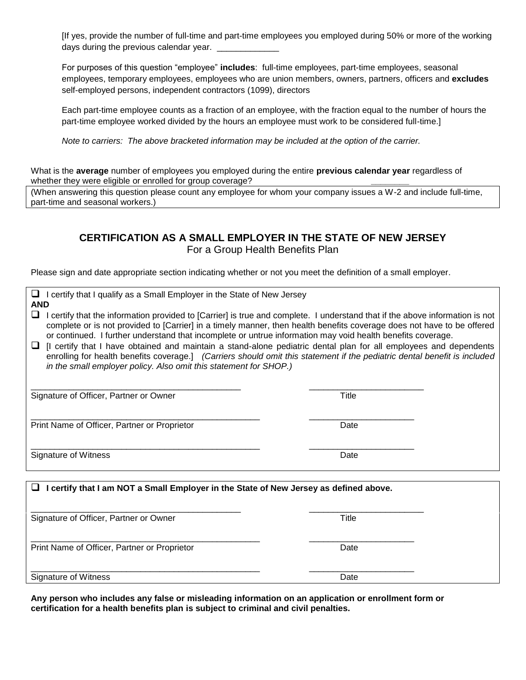[If yes, provide the number of full-time and part-time employees you employed during 50% or more of the working days during the previous calendar year.

For purposes of this question "employee" **includes**: full-time employees, part-time employees, seasonal employees, temporary employees, employees who are union members, owners, partners, officers and **excludes** self-employed persons, independent contractors (1099), directors

Each part-time employee counts as a fraction of an employee, with the fraction equal to the number of hours the part-time employee worked divided by the hours an employee must work to be considered full-time.]

*Note to carriers: The above bracketed information may be included at the option of the carrier.*

What is the **average** number of employees you employed during the entire **previous calendar year** regardless of whether they were eligible or enrolled for group coverage?

(When answering this question please count any employee for whom your company issues a W-2 and include full-time, part-time and seasonal workers.)

# **CERTIFICATION AS A SMALL EMPLOYER IN THE STATE OF NEW JERSEY**

For a Group Health Benefits Plan

Please sign and date appropriate section indicating whether or not you meet the definition of a small employer.

 $\Box$  I certify that I qualify as a Small Employer in the State of New Jersey

| <b>1</b> Cording that I gading do a Onital Employor in this State of How Sorooy<br><b>AND</b>                                                                                                                                                                                                                                                                                                                                                                                                                                                                                                                                                                                                          |              |  |
|--------------------------------------------------------------------------------------------------------------------------------------------------------------------------------------------------------------------------------------------------------------------------------------------------------------------------------------------------------------------------------------------------------------------------------------------------------------------------------------------------------------------------------------------------------------------------------------------------------------------------------------------------------------------------------------------------------|--------------|--|
| ⊔<br>I certify that the information provided to [Carrier] is true and complete. I understand that if the above information is not<br>complete or is not provided to [Carrier] in a timely manner, then health benefits coverage does not have to be offered<br>or continued. I further understand that incomplete or untrue information may void health benefits coverage.<br>[I certify that I have obtained and maintain a stand-alone pediatric dental plan for all employees and dependents<br>⊔<br>enrolling for health benefits coverage.] (Carriers should omit this statement if the pediatric dental benefit is included<br>in the small employer policy. Also omit this statement for SHOP.) |              |  |
| Signature of Officer, Partner or Owner                                                                                                                                                                                                                                                                                                                                                                                                                                                                                                                                                                                                                                                                 | <b>Title</b> |  |
| Print Name of Officer, Partner or Proprietor                                                                                                                                                                                                                                                                                                                                                                                                                                                                                                                                                                                                                                                           | Date         |  |
| Signature of Witness                                                                                                                                                                                                                                                                                                                                                                                                                                                                                                                                                                                                                                                                                   | Date         |  |
| I certify that I am NOT a Small Employer in the State of New Jersey as defined above.<br>⊔                                                                                                                                                                                                                                                                                                                                                                                                                                                                                                                                                                                                             |              |  |
| Signature of Officer, Partner or Owner                                                                                                                                                                                                                                                                                                                                                                                                                                                                                                                                                                                                                                                                 | Title        |  |
| Print Name of Officer, Partner or Proprietor                                                                                                                                                                                                                                                                                                                                                                                                                                                                                                                                                                                                                                                           | Date         |  |
|                                                                                                                                                                                                                                                                                                                                                                                                                                                                                                                                                                                                                                                                                                        |              |  |

**Any person who includes any false or misleading information on an application or enrollment form or certification for a health benefits plan is subject to criminal and civil penalties.**

Signature of Witness **Date**